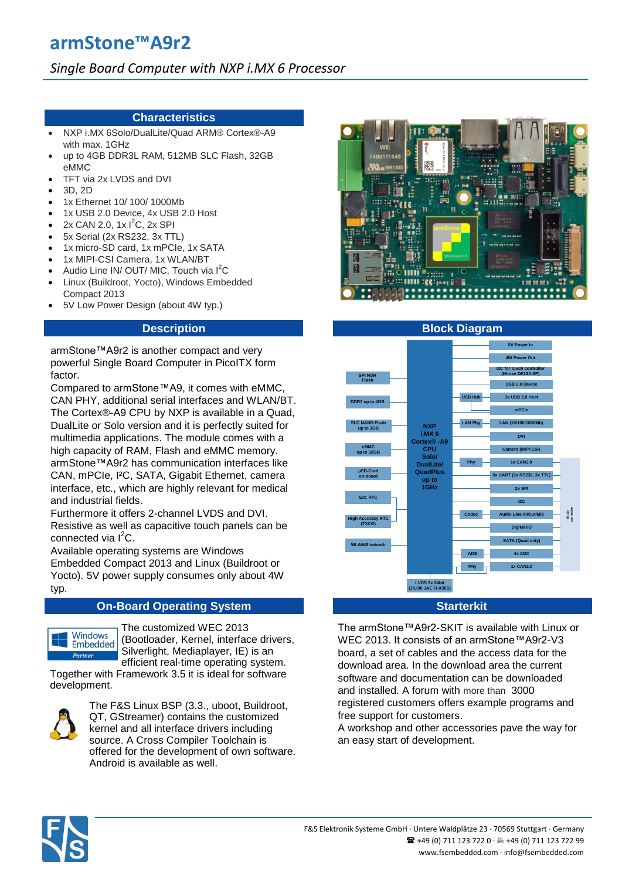# **armStone™A9r2**

# *Single Board Computer with NXP i.MX 6 Processor*

# **Characteristics**

- NXP i.MX 6Solo/DualLite/Quad ARM® Cortex®-A9 with max. 1GHz
- up to 4GB DDR3L RAM, 512MB SLC Flash, 32GB eMMC
- TFT via 2x LVDS and DVI
- 3D, 2D
- 1x Ethernet 10/ 100/ 1000Mb
- 1x USB 2.0 Device, 4x USB 2.0 Host
- $2x$  CAN 2.0, 1x  $1^2C$ , 2x SPI
- 5x Serial (2x RS232, 3x TTL)
- 1x micro-SD card, 1x mPCIe, 1x SATA
- 1x MIPI-CSI Camera, 1x WLAN/BT
- Audio Line IN/ OUT/ MIC, Touch via  $I^2C$
- Linux (Buildroot, Yocto), Windows Embedded Compact 2013
- 5V Low Power Design (about 4W typ.)

# **Description**

armStone™A9r2 is another compact and very powerful Single Board Computer in PicoITX form factor.

Compared to armStone™A9, it comes with eMMC, CAN PHY, additional serial interfaces and WLAN/BT. The Cortex®-A9 CPU by NXP is available in a Quad, DualLite or Solo version and it is perfectly suited for multimedia applications. The module comes with a high capacity of RAM, Flash and eMMC memory. armStone™A9r2 has communication interfaces like CAN, mPCIe, I²C, SATA, Gigabit Ethernet, camera interface, etc., which are highly relevant for medical and industrial fields.

Furthermore it offers 2-channel LVDS and DVI. Resistive as well as capacitive touch panels can be connected via l<sup>2</sup>C.

Available operating systems are Windows Embedded Compact 2013 and Linux (Buildroot or Yocto). 5V power supply consumes only about 4W typ.

# **On-Board Operating System Starterkit Starterkit**



The customized WEC 2013 (Bootloader, Kernel, interface drivers, Silverlight, Mediaplayer, IE) is an efficient real-time operating system.

Together with Framework 3.5 it is ideal for software development.



The F&S Linux BSP (3.3., uboot, Buildroot, QT, GStreamer) contains the customized kernel and all interface drivers including source. A Cross Compiler Toolchain is offered for the development of own software. Android is available as well.





The armStone™A9r2-SKIT is available with Linux or WEC 2013. It consists of an armStone™A9r2-V3 board, a set of cables and the access data for the download area. In the download area the current software and documentation can be downloaded and installed. A forum with more than 3000 registered customers offers example programs and free support for customers.

A workshop and other accessories pave the way for an easy start of development.